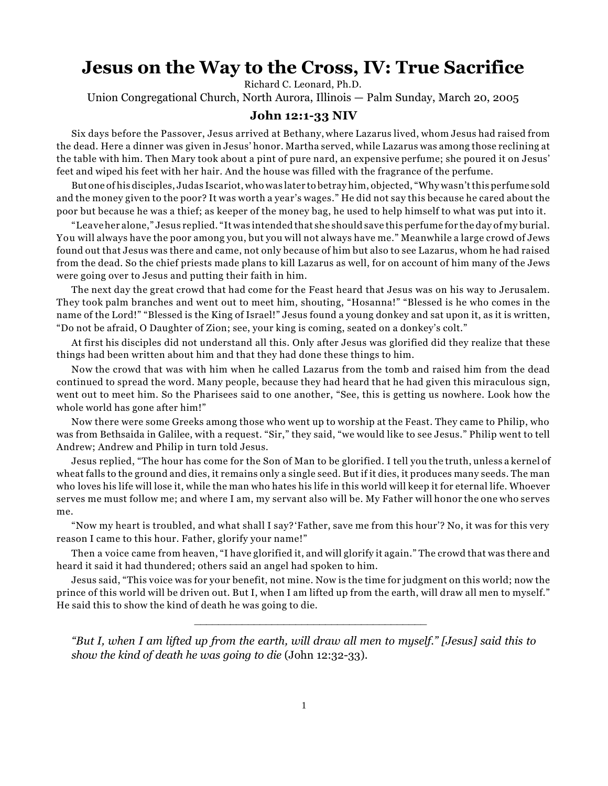## **Jesus on the Way to the Cross, IV: True Sacrifice**

Richard C. Leonard, Ph.D.

Union Congregational Church, North Aurora, Illinois — Palm Sunday, March 20, 2005

## **John 12:1-33 NIV**

Six days before the Passover, Jesus arrived at Bethany, where Lazarus lived, whom Jesus had raised from the dead. Here a dinner was given in Jesus' honor. Martha served, while Lazarus was among those reclining at the table with him. Then Mary took about a pint of pure nard, an expensive perfume; she poured it on Jesus' feet and wiped his feet with her hair. And the house was filled with the fragrance of the perfume.

But one of his disciples, Judas Iscariot, who was later to betray him, objected, "Why wasn't this perfume sold and the money given to the poor? It was worth a year's wages." He did not say this because he cared about the poor but because he was a thief; as keeper of the money bag, he used to help himself to what was put into it.

"Leave her alone," Jesus replied. "It was intended that she should save this perfume for the day of my burial. You will always have the poor among you, but you will not always have me." Meanwhile a large crowd of Jews found out that Jesus was there and came, not only because of him but also to see Lazarus, whom he had raised from the dead. So the chief priests made plans to kill Lazarus as well, for on account of him many of the Jews were going over to Jesus and putting their faith in him.

The next day the great crowd that had come for the Feast heard that Jesus was on his way to Jerusalem. They took palm branches and went out to meet him, shouting, "Hosanna!" "Blessed is he who comes in the name of the Lord!" "Blessed is the King of Israel!" Jesus found a young donkey and sat upon it, as it is written, "Do not be afraid, O Daughter of Zion; see, your king is coming, seated on a donkey's colt."

At first his disciples did not understand all this. Only after Jesus was glorified did they realize that these things had been written about him and that they had done these things to him.

Now the crowd that was with him when he called Lazarus from the tomb and raised him from the dead continued to spread the word. Many people, because they had heard that he had given this miraculous sign, went out to meet him. So the Pharisees said to one another, "See, this is getting us nowhere. Look how the whole world has gone after him!"

Now there were some Greeks among those who went up to worship at the Feast. They came to Philip, who was from Bethsaida in Galilee, with a request. "Sir," they said, "we would like to see Jesus." Philip went to tell Andrew; Andrew and Philip in turn told Jesus.

Jesus replied, "The hour has come for the Son of Man to be glorified. I tell you the truth, unless a kernel of wheat falls to the ground and dies, it remains only a single seed. But if it dies, it produces many seeds. The man who loves his life will lose it, while the man who hates his life in this world will keep it for eternal life. Whoever serves me must follow me; and where I am, my servant also will be. My Father will honor the one who serves me.

"Now my heart is troubled, and what shall I say? 'Father, save me from this hour'? No, it was for this very reason I came to this hour. Father, glorify your name!"

Then a voice came from heaven, "I have glorified it, and will glorify it again." The crowd that was there and heard it said it had thundered; others said an angel had spoken to him.

Jesus said, "This voice was for your benefit, not mine. Now is the time for judgment on this world; now the prince of this world will be driven out. But I, when I am lifted up from the earth, will draw all men to myself." He said this to show the kind of death he was going to die.

*"But I, when I am lifted up from the earth, will draw all men to myself." [Jesus] said this to show the kind of death he was going to die* (John 12:32-33).

\_\_\_\_\_\_\_\_\_\_\_\_\_\_\_\_\_\_\_\_\_\_\_\_\_\_\_\_\_\_\_\_\_\_\_\_\_\_\_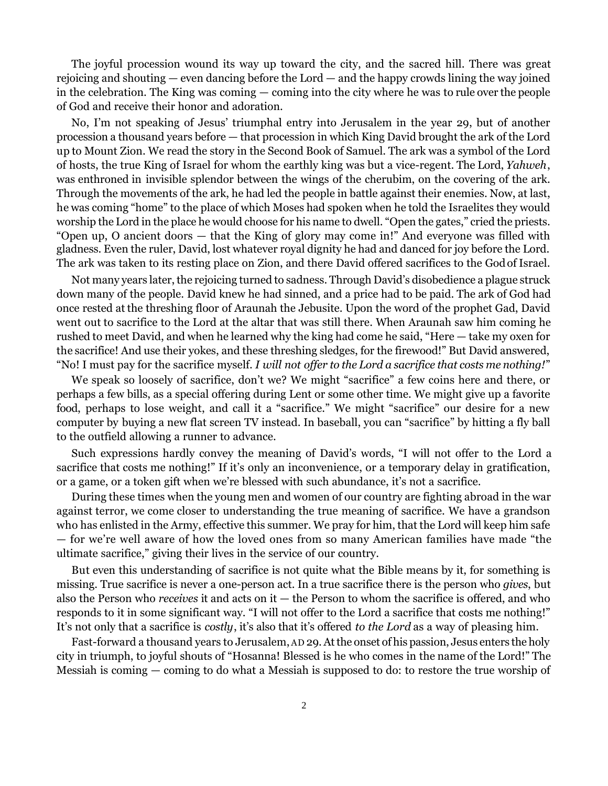The joyful procession wound its way up toward the city, and the sacred hill. There was great rejoicing and shouting — even dancing before the Lord — and the happy crowds lining the way joined in the celebration. The King was coming — coming into the city where he was to rule over the people of God and receive their honor and adoration.

No, I'm not speaking of Jesus' triumphal entry into Jerusalem in the year 29, but of another procession a thousand years before — that procession in which King David brought the ark of the Lord up to Mount Zion. We read the story in the Second Book of Samuel. The ark was a symbol of the Lord of hosts, the true King of Israel for whom the earthly king was but a vice-regent. The Lord, *Yahweh*, was enthroned in invisible splendor between the wings of the cherubim, on the covering of the ark. Through the movements of the ark, he had led the people in battle against their enemies. Now, at last, he was coming "home" to the place of which Moses had spoken when he told the Israelites they would worship the Lord in the place he would choose for his name to dwell. "Open the gates," cried the priests. "Open up, O ancient doors — that the King of glory may come in!" And everyone was filled with gladness. Even the ruler, David, lost whatever royal dignity he had and danced for joy before the Lord. The ark was taken to its resting place on Zion, and there David offered sacrifices to the God of Israel.

Not many years later, the rejoicing turned to sadness. Through David's disobedience a plague struck down many of the people. David knew he had sinned, and a price had to be paid. The ark of God had once rested at the threshing floor of Araunah the Jebusite. Upon the word of the prophet Gad, David went out to sacrifice to the Lord at the altar that was still there. When Araunah saw him coming he rushed to meet David, and when he learned why the king had come he said, "Here — take my oxen for the sacrifice! And use their yokes, and these threshing sledges, for the firewood!" But David answered, "No! I must pay for the sacrifice myself. *I will not offer to the Lord a sacrifice that costs me nothing!*"

We speak so loosely of sacrifice, don't we? We might "sacrifice" a few coins here and there, or perhaps a few bills, as a special offering during Lent or some other time. We might give up a favorite food, perhaps to lose weight, and call it a "sacrifice." We might "sacrifice" our desire for a new computer by buying a new flat screen TV instead. In baseball, you can "sacrifice" by hitting a fly ball to the outfield allowing a runner to advance.

Such expressions hardly convey the meaning of David's words, "I will not offer to the Lord a sacrifice that costs me nothing!" If it's only an inconvenience, or a temporary delay in gratification, or a game, or a token gift when we're blessed with such abundance, it's not a sacrifice.

During these times when the young men and women of our country are fighting abroad in the war against terror, we come closer to understanding the true meaning of sacrifice. We have a grandson who has enlisted in the Army, effective this summer. We pray for him, that the Lord will keep him safe — for we're well aware of how the loved ones from so many American families have made "the ultimate sacrifice," giving their lives in the service of our country.

But even this understanding of sacrifice is not quite what the Bible means by it, for something is missing. True sacrifice is never a one-person act. In a true sacrifice there is the person who *gives*, but also the Person who *receives* it and acts on it — the Person to whom the sacrifice is offered, and who responds to it in some significant way. "I will not offer to the Lord a sacrifice that costs me nothing!" It's not only that a sacrifice is *costly*, it's also that it's offered *to the Lord* as a way of pleasing him.

Fast-forward a thousand years to Jerusalem, AD 29. At the onset of his passion, Jesus enters the holy city in triumph, to joyful shouts of "Hosanna! Blessed is he who comes in the name of the Lord!" The Messiah is coming — coming to do what a Messiah is supposed to do: to restore the true worship of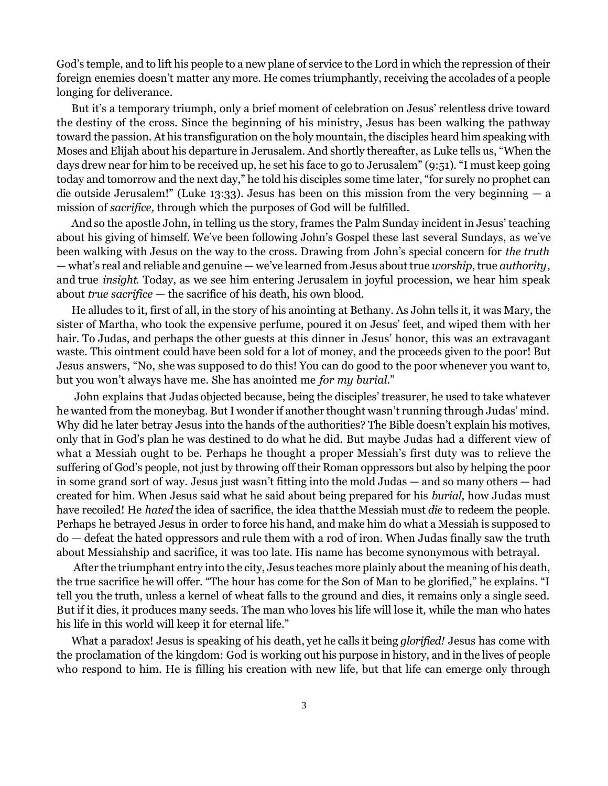God's temple, and to lift his people to a new plane of service to the Lord in which the repression of their foreign enemies doesn't matter any more. He comes triumphantly, receiving the accolades of a people longing for deliverance.

But it's a temporary triumph, only a brief moment of celebration on Jesus' relentless drive toward the destiny of the cross. Since the beginning of his ministry, Jesus has been walking the pathway toward the passion. At his transfiguration on the holy mountain, the disciples heard him speaking with Moses and Elijah about his departure in Jerusalem. And shortly thereafter, as Luke tells us, "When the days drew near for him to be received up, he set his face to go to Jerusalem" (9:51). "I must keep going today and tomorrow and the next day," he told his disciples some time later, "for surely no prophet can die outside Jerusalem!" (Luke 13:33). Jesus has been on this mission from the very beginning — a mission of *sacrifice,* through which the purposes of God will be fulfilled.

And so the apostle John, in telling us the story, frames the Palm Sunday incident in Jesus' teaching about his giving of himself. We've been following John's Gospel these last several Sundays, as we've been walking with Jesus on the way to the cross. Drawing from John's special concern for *the truth* — what's real and reliable and genuine — we've learned from Jesus about true *worship*, true *authority*, and true *insight*. Today, as we see him entering Jerusalem in joyful procession, we hear him speak about *true sacrifice* — the sacrifice of his death, his own blood.

He alludes to it, first of all, in the story of his anointing at Bethany. As John tells it, it was Mary, the sister of Martha, who took the expensive perfume, poured it on Jesus' feet, and wiped them with her hair. To Judas, and perhaps the other guests at this dinner in Jesus' honor, this was an extravagant waste. This ointment could have been sold for a lot of money, and the proceeds given to the poor! But Jesus answers, "No, she was supposed to do this! You can do good to the poor whenever you want to, but you won't always have me. She has anointed me *for my burial*."

 John explains that Judas objected because, being the disciples' treasurer, he used to take whatever he wanted from the moneybag. But I wonder if another thought wasn't running through Judas' mind. Why did he later betray Jesus into the hands of the authorities? The Bible doesn't explain his motives, only that in God's plan he was destined to do what he did. But maybe Judas had a different view of what a Messiah ought to be. Perhaps he thought a proper Messiah's first duty was to relieve the suffering of God's people, not just by throwing off their Roman oppressors but also by helping the poor in some grand sort of way. Jesus just wasn't fitting into the mold Judas — and so many others — had created for him. When Jesus said what he said about being prepared for his *burial*, how Judas must have recoiled! He *hated* the idea of sacrifice, the idea that the Messiah must *die* to redeem the people. Perhaps he betrayed Jesus in order to force his hand, and make him do what a Messiah is supposed to do — defeat the hated oppressors and rule them with a rod of iron. When Judas finally saw the truth about Messiahship and sacrifice, it was too late. His name has become synonymous with betrayal.

 After the triumphant entry into the city, Jesus teaches more plainly about the meaning of his death, the true sacrifice he will offer. "The hour has come for the Son of Man to be glorified," he explains. "I tell you the truth, unless a kernel of wheat falls to the ground and dies, it remains only a single seed. But if it dies, it produces many seeds. The man who loves his life will lose it, while the man who hates his life in this world will keep it for eternal life."

What a paradox! Jesus is speaking of his death, yet he calls it being *glorified!* Jesus has come with the proclamation of the kingdom: God is working out his purpose in history, and in the lives of people who respond to him. He is filling his creation with new life, but that life can emerge only through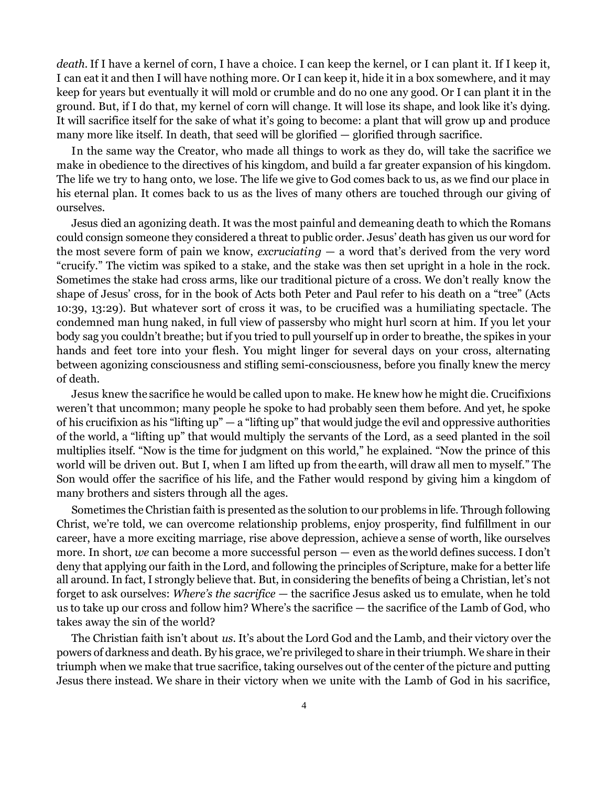*death.* If I have a kernel of corn, I have a choice. I can keep the kernel, or I can plant it. If I keep it, I can eat it and then I will have nothing more. Or I can keep it, hide it in a box somewhere, and it may keep for years but eventually it will mold or crumble and do no one any good. Or I can plant it in the ground. But, if I do that, my kernel of corn will change. It will lose its shape, and look like it's dying. It will sacrifice itself for the sake of what it's going to become: a plant that will grow up and produce many more like itself. In death, that seed will be glorified — glorified through sacrifice.

In the same way the Creator, who made all things to work as they do, will take the sacrifice we make in obedience to the directives of his kingdom, and build a far greater expansion of his kingdom. The life we try to hang onto, we lose. The life we give to God comes back to us, as we find our place in his eternal plan. It comes back to us as the lives of many others are touched through our giving of ourselves.

Jesus died an agonizing death. It was the most painful and demeaning death to which the Romans could consign someone they considered a threat to public order. Jesus' death has given us our word for the most severe form of pain we know, *excruciating* — a word that's derived from the very word "crucify." The victim was spiked to a stake, and the stake was then set upright in a hole in the rock. Sometimes the stake had cross arms, like our traditional picture of a cross. We don't really know the shape of Jesus' cross, for in the book of Acts both Peter and Paul refer to his death on a "tree" (Acts 10:39, 13:29). But whatever sort of cross it was, to be crucified was a humiliating spectacle. The condemned man hung naked, in full view of passersby who might hurl scorn at him. If you let your body sag you couldn't breathe; but if you tried to pull yourself up in order to breathe, the spikes in your hands and feet tore into your flesh. You might linger for several days on your cross, alternating between agonizing consciousness and stifling semi-consciousness, before you finally knew the mercy of death.

Jesus knew the sacrifice he would be called upon to make. He knew how he might die. Crucifixions weren't that uncommon; many people he spoke to had probably seen them before. And yet, he spoke of his crucifixion as his "lifting up" — a "lifting up" that would judge the evil and oppressive authorities of the world, a "lifting up" that would multiply the servants of the Lord, as a seed planted in the soil multiplies itself. "Now is the time for judgment on this world," he explained. "Now the prince of this world will be driven out. But I, when I am lifted up from the earth, will draw all men to myself." The Son would offer the sacrifice of his life, and the Father would respond by giving him a kingdom of many brothers and sisters through all the ages.

Sometimes the Christian faith is presented as the solution to our problems in life. Through following Christ, we're told, we can overcome relationship problems, enjoy prosperity, find fulfillment in our career, have a more exciting marriage, rise above depression, achieve a sense of worth, like ourselves more. In short, *we* can become a more successful person — even as the world defines success. I don't deny that applying our faith in the Lord, and following the principles of Scripture, make for a better life all around. In fact, I strongly believe that. But, in considering the benefits of being a Christian, let's not forget to ask ourselves: *Where's the sacrifice* — the sacrifice Jesus asked us to emulate, when he told us to take up our cross and follow him? Where's the sacrifice — the sacrifice of the Lamb of God, who takes away the sin of the world?

The Christian faith isn't about *us.* It's about the Lord God and the Lamb, and their victory over the powers of darkness and death. By his grace, we're privileged to share in their triumph. We share in their triumph when we make that true sacrifice, taking ourselves out of the center of the picture and putting Jesus there instead. We share in their victory when we unite with the Lamb of God in his sacrifice,